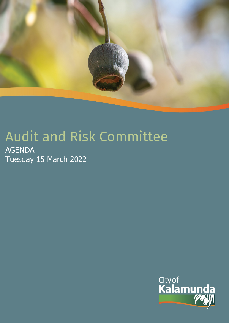

# Audit and Risk Committee

AGENDA Tuesday 15 March 2022

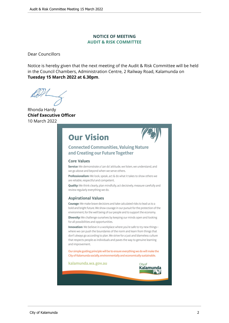# **NOTICE OF MEETING AUDIT & RISK COMMITTEE**

Dear Councillors

Notice is hereby given that the next meeting of the Audit & Risk Committee will be held in the Council Chambers, Administration Centre, 2 Railway Road, Kalamunda on **Tuesday 15 March 2022 at 6.30pm**.

Rhonda Hardy **Chief Executive Officer** 10 March 2022

# **Our Vision**



# **Connected Communities, Valuing Nature** and Creating our Future Together

#### **Core Values**

Service: We demonstrate a 'can do' attitude, we listen, we understand, and we go above and beyond when we serve others.

Professionalism: We look, speak, act & do what it takes to show others we are reliable, respectful and competent.

Quality: We think clearly, plan mindfully, act decisively, measure carefully and review regularly everything we do.

#### **Aspirational Values**

Courage: We make brave decisions and take calculated risks to lead us to a bold and bright future. We show courage in our pursuit for the protection of the environment, for the well being of our people and to support the economy.

Diversity: We challenge ourselves by keeping our minds open and looking for all possibilities and opportunities.

Innovation: We believe in a workplace where you're safe to try new thingswhere we can push the boundaries of the norm and learn from things that don't always go according to plan. We strive for a just and blameless culture that respects people as individuals and paves the way to genuine learning and improvement.

Our simple guiding principle will be to ensure everything we do will make the City of Kalamunda socially, environmentally and economically sustainable.

kalamunda.wa.gov.au

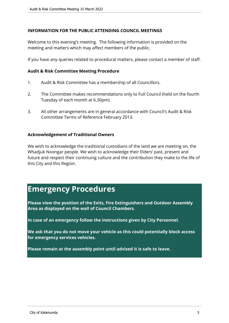# **INFORMATION FOR THE PUBLIC ATTENDING COUNCIL MEETINGS**

Welcome to this evening's meeting. The following information is provided on the meeting and matters which may affect members of the public.

If you have any queries related to procedural matters, please contact a member of staff.

# **Audit & Risk Committee Meeting Procedure**

- 1. Audit & Risk Committee has a membership of all Councillors.
- 2. The Committee makes recommendations only to Full Council (held on the fourth Tuesday of each month at 6.30pm)
- 3. All other arrangements are in general accordance with Council's Audit & Risk Committee Terms of Reference February 2013.

# **Acknowledgement of Traditional Owners**

We wish to acknowledge the traditional custodians of the land we are meeting on, the Whadjuk Noongar people. We wish to acknowledge their Elders' past, present and future and respect their continuing culture and the contribution they make to the life of this City and this Region.

# **Emergency Procedures**

**Please view the position of the Exits, Fire Extinguishers and Outdoor Assembly Area as displayed on the wall of Council Chambers.**

**In case of an emergency follow the instructions given by City Personnel.** 

**We ask that you do not move your vehicle as this could potentially block access for emergency services vehicles.** 

**Please remain at the assembly point until advised it is safe to leave.**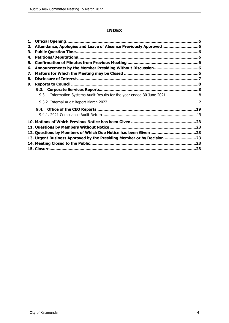# **INDEX**

| 1. |                                                                        |  |
|----|------------------------------------------------------------------------|--|
| 2. |                                                                        |  |
| 3. |                                                                        |  |
| 4. |                                                                        |  |
| 5. |                                                                        |  |
| 6. |                                                                        |  |
| 7. |                                                                        |  |
| 8. |                                                                        |  |
| 9. |                                                                        |  |
|    |                                                                        |  |
|    |                                                                        |  |
|    |                                                                        |  |
|    |                                                                        |  |
|    |                                                                        |  |
|    |                                                                        |  |
|    |                                                                        |  |
|    |                                                                        |  |
|    | 13. Urgent Business Approved by the Presiding Member or by Decision 23 |  |
|    |                                                                        |  |
|    |                                                                        |  |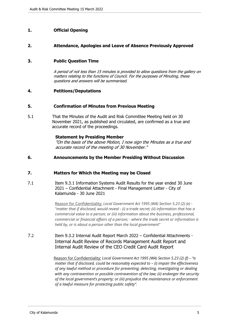# <span id="page-4-0"></span>**1. Official Opening**

#### <span id="page-4-1"></span>**2. Attendance, Apologies and Leave of Absence Previously Approved**

#### <span id="page-4-2"></span>**3. Public Question Time**

*A period of not less than 15 minutes is provided to allow questions from the gallery on matters relating to the functions of Council. For the purposes of Minuting, these questions and answers will be summarised.*

#### <span id="page-4-3"></span>**4. Petitions/Deputations**

#### <span id="page-4-4"></span>**5. Confirmation of Minutes from Previous Meeting**

5.1 That the Minutes of the Audit and Risk Committee Meeting held on 30 November 2021, as published and circulated, are confirmed as a true and accurate record of the proceedings.

#### **Statement by Presiding Member**

*"On the basis of the above Motion, I now sign the Minutes as a true and accurate record of the meeting of 30 November."*

#### <span id="page-4-5"></span>**6. Announcements by the Member Presiding Without Discussion**

#### <span id="page-4-6"></span>**7. Matters for Which the Meeting may be Closed**

7.1 Item 9.3.1 Information Systems Audit Results for the year ended 30 June 2021 – Confidential Attachment - Final Management Letter - City of Kalamunda - 30 June 2021

> Reason for Confidentiality: *Local Government Act 1995 (WA) Section 5.23 (2) (e) - "matter that if disclosed, would reveal - (i) a trade secret; (ii) information that has a commercial value to a person; or (iii) information about the business, professional, commercial or financial affairs of a person; - where the trade secret or information is held by, or is about a person other than the local government"*

7.2 Item 9.3.2 Internal Audit Report March 2022 – Confidential Attachments - Internal Audit Review of Records Management Audit Report and Internal Audit Review of the CEO Credit Card Audit Report

> Reason for Confidentiality: *Local Government Act 1995 (WA) Section 5.23 (2) (f) – "a matter that if disclosed, could be reasonably expected to – (i) impair the effectiveness of any lawful method or procedure for preventing, detecting, investigating or dealing with any contravention or possible contravention of the law; (ii) endanger the security of the local government's property; or (iii) prejudice the maintenance or enforcement of a lawful measure for protecting public safety".*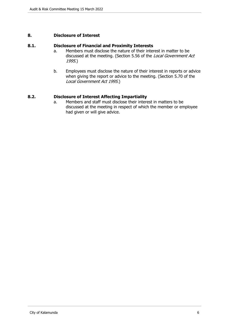# <span id="page-5-0"></span>**8. Disclosure of Interest**

#### **8.1. Disclosure of Financial and Proximity Interests**

- a. Members must disclose the nature of their interest in matter to be discussed at the meeting. (Section 5.56 of the *Local Government Act 1995*.)
- b. Employees must disclose the nature of their interest in reports or advice when giving the report or advice to the meeting. (Section 5.70 of the *Local Government Act 1995*.)

# **8.2. Disclosure of Interest Affecting Impartiality**

a. Members and staff must disclose their interest in matters to be discussed at the meeting in respect of which the member or employee had given or will give advice.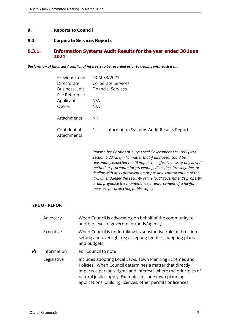# <span id="page-6-0"></span>**9. Reports to Council**

# <span id="page-6-1"></span>**9.3. Corporate Services Reports**

# <span id="page-6-2"></span>**9.3.1. Information Systems Audit Results for the year ended 30 June 2021**

*Declaration of financial / conflict of interests to be recorded prior to dealing with each item.*

| Previous Items<br>Directorate                                       |     | OCM 33/2021<br>Corporate Services        |
|---------------------------------------------------------------------|-----|------------------------------------------|
| <b>Financial Services</b><br><b>Business Unit</b><br>File Reference |     |                                          |
| Applicant                                                           | N/A |                                          |
| Owner                                                               | N/A |                                          |
| Attachments                                                         | Nil |                                          |
| Confidential<br>Attachments                                         | 1.  | Information Systems Audit Results Report |

Reason for Confidentiality: *Local Government Act 1995 (WA) Section 5.23 (2) (f) - "a matter that if disclosed, could be reasonably expected to - (i) impair the effectiveness of any lawful method or procedure for preventing, detecting, investigating or dealing with any contravention or possible contravention of the law; (ii) endanger the security of the local government's property; or (iii) prejudice the maintenance or enforcement of a lawful measure for protecting public safety"*

#### **TYPE OF REPORT**

|                          | Advocacy    | When Council is advocating on behalf of the community to<br>another level of government/body/agency                                                                                                                                                                                                           |
|--------------------------|-------------|---------------------------------------------------------------------------------------------------------------------------------------------------------------------------------------------------------------------------------------------------------------------------------------------------------------|
| Executive<br>and budgets |             | When Council is undertaking its substantive role of direction<br>setting and oversight (eg accepting tenders, adopting plans                                                                                                                                                                                  |
| ┻                        | Information | For Council to note                                                                                                                                                                                                                                                                                           |
|                          | Legislative | Includes adopting Local Laws, Town Planning Schemes and<br>Policies. When Council determines a matter that directly<br>impacts a person's rights and interests where the principles of<br>natural justice apply. Examples include town planning<br>applications, building licences, other permits or licences |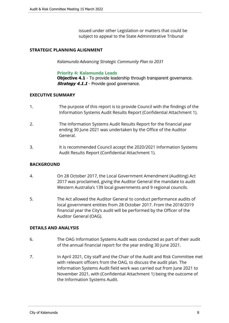issued under other Legislation or matters that could be subject to appeal to the State Administrative Tribunal

# **STRATEGIC PLANNING ALIGNMENT**

*Kalamunda Advancing Strategic Community Plan to 2031*

#### **Priority 4: Kalamunda Leads**

**Objective 4.1** - To provide leadership through transparent governance. **Strategy 4.1.1** - Provide good governance.

# **EXECUTIVE SUMMARY**

- 1. The purpose of this report is to provide Council with the findings of the Information Systems Audit Results Report (Confidential Attachment 1).
- 2. The Information Systems Audit Results Report for the financial year ending 30 June 2021 was undertaken by the Office of the Auditor General.
- 3. It is recommended Council accept the 2020/2021 Information Systems Audit Results Report (Confidential Attachment 1).

# **BACKGROUND**

- 4. On 28 October 2017, the Local Government Amendment (Auditing) Act 2017 was proclaimed, giving the Auditor General the mandate to audit Western Australia's 139 local governments and 9 regional councils.
- 5. The Act allowed the Auditor General to conduct performance audits of local government entities from 28 October 2017. From the 2018/2019 financial year the City's audit will be performed by the Officer of the Auditor General (OAG).

# **DETAILS AND ANALYSIS**

- 6. The OAG Information Systems Audit was conducted as part of their audit of the annual financial report for the year ending 30 June 2021.
- 7. In April 2021, City staff and the Chair of the Audit and Risk Committee met with relevant officers from the OAG, to discuss the audit plan. The Information Systems Audit field work was carried out from June 2021 to November 2021, with (Confidential Attachment 1) being the outcome of the Information Systems Audit.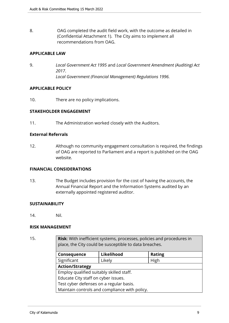8. OAG completed the audit field work, with the outcome as detailed in (Confidential Attachment 1). The City aims to implement all recommendations from OAG.

# **APPLICABLE LAW**

9. *Local Government Act 1995* and *Local Government Amendment (Auditing) Act 2017*. *Local Government (Financial Management) Regulations 1996.*

# **APPLICABLE POLICY**

10. There are no policy implications.

# **STAKEHOLDER ENGAGEMENT**

11. The Administration worked closely with the Auditors.

# **External Referrals**

12. Although no community engagement consultation is required, the findings of OAG are reported to Parliament and a report is published on the OAG website.

#### **FINANCIAL CONSIDERATIONS**

13. The Budget includes provision for the cost of having the accounts, the Annual Financial Report and the Information Systems audited by an externally appointed registered auditor.

#### **SUSTAINABILITY**

14. Nil.

# **RISK MANAGEMENT**

15. **Risk**: With inefficient systems, processes, policies and procedures in place, the City could be susceptible to data breaches.

| Consequence                                   | Likelihood | <b>Rating</b> |  |
|-----------------------------------------------|------------|---------------|--|
| Significant                                   | Likely     | High          |  |
| <b>Action/Strategy</b>                        |            |               |  |
| Employ qualified suitably skilled staff.      |            |               |  |
| Educate City staff on cyber issues.           |            |               |  |
| Test cyber defenses on a regular basis.       |            |               |  |
| Maintain controls and compliance with policy. |            |               |  |
|                                               |            |               |  |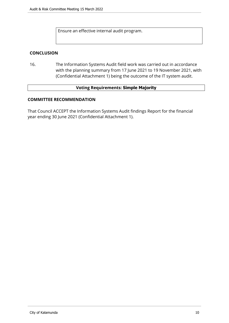Ensure an effective internal audit program.

# **CONCLUSION**

16. The Information Systems Audit field work was carried out in accordance with the planning summary from 17 June 2021 to 19 November 2021, with (Confidential Attachment 1) being the outcome of the IT system audit.

#### **Voting Requirements: Simple Majority**

# **COMMITTEE RECOMMENDATION**

That Council ACCEPT the Information Systems Audit findings Report for the financial year ending 30 June 2021 (Confidential Attachment 1).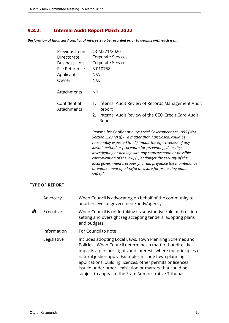# <span id="page-10-0"></span>**9.3.2. Internal Audit Report March 2022**

*Declaration of financial / conflict of interests to be recorded prior to dealing with each item.*

| Previous Items<br>Directorate<br><b>Business Unit</b><br>File Reference<br>Applicant<br>Owner | OCM271/2020<br>Corporate Services<br><b>Corporate Services</b><br>3.010758<br>N/A<br>N/A                                                                                                                                                                                                                                                                                                                                                                                                                                     |
|-----------------------------------------------------------------------------------------------|------------------------------------------------------------------------------------------------------------------------------------------------------------------------------------------------------------------------------------------------------------------------------------------------------------------------------------------------------------------------------------------------------------------------------------------------------------------------------------------------------------------------------|
| Attachments                                                                                   | Nil                                                                                                                                                                                                                                                                                                                                                                                                                                                                                                                          |
| Confidential<br>Attachments                                                                   | Internal Audit Review of Records Management Audit<br>1.<br>Report<br>Internal Audit Review of the CEO Credit Card Audit<br>2.<br>Report                                                                                                                                                                                                                                                                                                                                                                                      |
|                                                                                               | Reason for Confidentiality: Local Government Act 1995 (WA)<br>Section 5.23 (2) (f) - "a matter that if disclosed, could be<br>reasonably expected to - (i) impair the effectiveness of any<br>lawful method or procedure for preventing, detecting,<br>investigating or dealing with any contravention or possible<br>contravention of the law; (ii) endanger the security of the<br>local government's property; or (iii) prejudice the maintenance<br>or enforcement of a lawful measure for protecting public<br>safety". |
| <b>TYPE OF REPORT</b>                                                                         |                                                                                                                                                                                                                                                                                                                                                                                                                                                                                                                              |
| Advocacy                                                                                      | When Council is advocating on behalf of the community to<br>another level of government/body/agency                                                                                                                                                                                                                                                                                                                                                                                                                          |
| Executive                                                                                     | When Council is undertaking its substantive role of direction<br>setting and oversight (eg accepting tenders, adopting plans<br>and budgets                                                                                                                                                                                                                                                                                                                                                                                  |
| Information                                                                                   | For Council to note                                                                                                                                                                                                                                                                                                                                                                                                                                                                                                          |
| Legislative                                                                                   | Includes adopting Local Laws, Town Planning Schemes and<br>Policies. When Council determines a matter that directly<br>impacts a person's rights and interests where the principles of<br>natural justice apply. Examples include town planning                                                                                                                                                                                                                                                                              |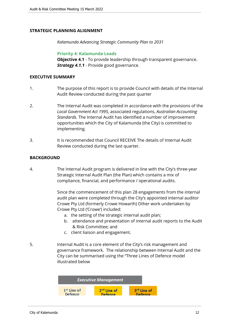# **STRATEGIC PLANNING ALIGNMENT**

*Kalamunda Advancing Strategic Community Plan to 2031*

**Priority 4: Kalamunda Leads**

**Objective 4.1** - To provide leadership through transparent governance. *Strategy 4.1.1* - Provide good governance.

#### **EXECUTIVE SUMMARY**

- 1. The purpose of this report is to provide Council with details of the Internal Audit Review conducted during the past quarter
- 2. The Internal Audit was completed in accordance with the provisions of the *Local Government Act 1995,* associated regulations, *Australian Accounting Standards.* The Internal Audit has identified a number of improvement opportunities which the City of Kalamunda (the City) is committed to implementing.
- 3. It is recommended that Council RECEIVE The details of Internal Audit Review conducted during the last quarter.

# **BACKGROUND**

4. The Internal Audit program is delivered in line with the City's three-year Strategic Internal Audit Plan (the Plan) which contains a mix of compliance, financial, and performance / operational audits.

> Since the commencement of this plan 28 engagements from the internal audit plan were completed through the City's appointed internal auditor Crowe Pty Ltd (formerly Crowe Howarth) Other work undertaken by Crowe Pty Ltd ('Crowe') included:

- a. the setting of the strategic internal audit plan;
- b. attendance and presentation of internal audit reports to the Audit & Risk Committee; and
- c. client liaison and engagement.
- 5. Internal Audit is a core element of the City's risk management and governance framework. The relationship between Internal Audit and the City can be summarised using the "Three Lines of Defence model illustrated below

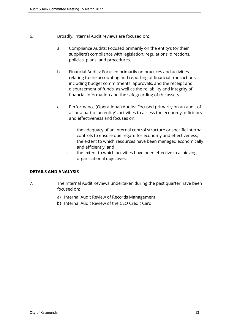- 6. Broadly, Internal Audit reviews are focused on:
	- a. Compliance Audits: Focused primarily on the entity's (or their suppliers') compliance with legislation, regulations, directions, policies, plans, and procedures.
	- b. Financial Audits: Focused primarily on practices and activities relating to the accounting and reporting of financial transactions including budget commitments, approvals, and the receipt and disbursement of funds, as well as the reliability and integrity of financial information and the safeguarding of the assets.
	- c. Performance (Operational) Audits: Focused primarily on an audit of all or a part of an entity's activities to assess the economy, efficiency and effectiveness and focuses on:
		- i. the adequacy of an internal control structure or specific internal controls to ensure due regard for economy and effectiveness;
		- ii. the extent to which resources have been managed economically and efficiently; and
		- iii. the extent to which activities have been effective in achieving organisational objectives.

# **DETAILS AND ANALYSIS**

- 7. The Internal Audit Reviews undertaken during the past quarter have been focused on:
	- a) Internal Audit Review of Records Management
	- b) Internal Audit Review of the CEO Credit Card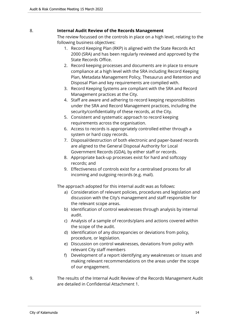# 8. **Internal Audit Review of the Records Management**

The review focussed on the controls in place on a high level, relating to the following business objectives:

- 1. Record Keeping Plan (RKP) is aligned with the State Records Act 2000 (SRA) and has been regularly reviewed and approved by the State Records Office.
- 2. Record keeping processes and documents are in place to ensure compliance at a high level with the SRA including Record Keeping Plan, Metadata Management Policy, Thesaurus and Retention and Disposal Plan and key requirements are complied with.
- 3. Record Keeping Systems are compliant with the SRA and Record Management practices at the City.
- 4. Staff are aware and adhering to record keeping responsibilities under the SRA and Record Management practices, including the security/confidentiality of these records, at the City.
- 5. Consistent and systematic approach to record keeping requirements across the organisation.
- 6. Access to records is appropriately controlled either through a system or hard copy records.
- 7. Disposal/destruction of both electronic and paper-based records are aligned to the General Disposal Authority for Local Government Records (GDA), by either staff or records.
- 8. Appropriate back-up processes exist for hard and softcopy records; and
- 9. Effectiveness of controls exist for a centralised process for all incoming and outgoing records (e.g. mail).

The approach adopted for this internal audit was as follows:

- a) Consideration of relevant policies, procedures and legislation and discussion with the City's management and staff responsible for the relevant scope areas.
- b) Identification of control weaknesses through analysis by internal audit.
- c) Analysis of a sample of records/plans and actions covered within the scope of the audit.
- d) Identification of any discrepancies or deviations from policy, procedure, or legislation.
- e) Discussion on control weaknesses, deviations from policy with relevant City staff members
- f) Development of a report identifying any weaknesses or issues and making relevant recommendations on the areas under the scope of our engagement.
- 9. The results of the Internal Audit Review of the Records Management Audit are detailed in Confidential Attachment 1.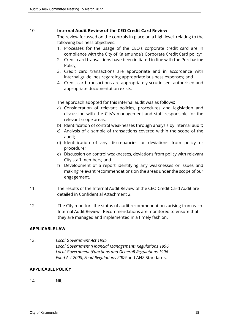# 10. **Internal Audit Review of the CEO Credit Card Review**

The review focussed on the controls in place on a high level, relating to the following business objectives:

- 1. Processes for the usage of the CEO's corporate credit card are in compliance with the City of Kalamunda's Corporate Credit Card policy;
- 2. Credit card transactions have been initiated in-line with the Purchasing Policy;
- 3. Credit card transactions are appropriate and in accordance with internal guidelines regarding appropriate business expenses; and
- 4. Credit card transactions are appropriately scrutinised, authorised and appropriate documentation exists.

The approach adopted for this internal audit was as follows:

- a) Consideration of relevant policies, procedures and legislation and discussion with the City's management and staff responsible for the relevant scope areas;
- b) Identification of control weaknesses through analysis by internal audit;
- c) Analysis of a sample of transactions covered within the scope of the audit;
- d) Identification of any discrepancies or deviations from policy or procedure;
- e) Discussion on control weaknesses, deviations from policy with relevant City staff members; and
- f) Development of a report identifying any weaknesses or issues and making relevant recommendations on the areas under the scope of our engagement.
- 11. The results of the Internal Audit Review of the CEO Credit Card Audit are detailed in Confidential Attachment 2.
- 12. The City monitors the status of audit recommendations arising from each Internal Audit Review. Recommendations are monitored to ensure that they are managed and implemented in a timely fashion.

# **APPLICABLE LAW**

13. *Local Government Act 1995 Local Government (Financial Management) Regulations 1996 Local Government (Functions and General) Regulations 1996 Food Act 2008*, *Food Regulations 2009* and ANZ Standards;

# **APPLICABLE POLICY**

14. Nil.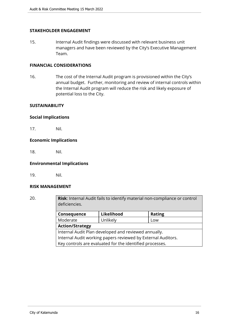# **STAKEHOLDER ENGAGEMENT**

15. Internal Audit findings were discussed with relevant business unit managers and have been reviewed by the City's Executive Management Team.

# **FINANCIAL CONSIDERATIONS**

16. The cost of the Internal Audit program is provisioned within the City's annual budget. Further, monitoring and review of internal controls within the Internal Audit program will reduce the risk and likely exposure of potential loss to the City.

#### **SUSTAINABILITY**

#### **Social Implications**

17. Nil.

#### **Economic Implications**

18. Nil.

#### **Environmental Implications**

19. Nil.

#### **RISK MANAGEMENT**

20. **Risk**: Internal Audit fails to identify material non-compliance or control deficiencies. **Consequence Likelihood Rating**

| <b>CONSCHACTICS</b>                                          | EIRCHIIVU | 114115 |  |
|--------------------------------------------------------------|-----------|--------|--|
| Moderate                                                     | Unlikely  | Low    |  |
| <b>Action/Strategy</b>                                       |           |        |  |
| Internal Audit Plan developed and reviewed annually.         |           |        |  |
| Internal Audit working papers reviewed by External Auditors. |           |        |  |
| Key controls are evaluated for the identified processes.     |           |        |  |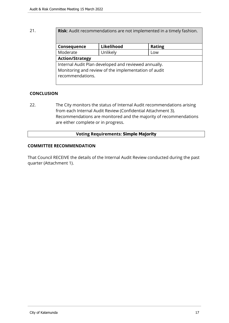# 21. **Risk**: Audit recommendations are not implemented in a timely fashion.

| Consequence                                          | Likelihood | <b>Rating</b> |  |
|------------------------------------------------------|------------|---------------|--|
| Moderate                                             | Unlikely   | Low           |  |
| <b>Action/Strategy</b>                               |            |               |  |
| Internal Audit Plan developed and reviewed annually. |            |               |  |
| Monitoring and review of the implementation of audit |            |               |  |
| recommendations.                                     |            |               |  |
|                                                      |            |               |  |

# **CONCLUSION**

22. The City monitors the status of Internal Audit recommendations arising from each Internal Audit Review (Confidential Attachment 3). Recommendations are monitored and the majority of recommendations are either complete or in progress.

# **Voting Requirements: Simple Majority**

# **COMMITTEE RECOMMENDATION**

That Council RECEIVE the details of the Internal Audit Review conducted during the past quarter (Attachment 1).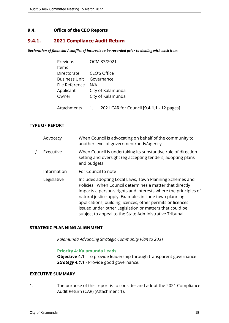# <span id="page-17-0"></span>**9.4. Office of the CEO Reports**

# <span id="page-17-1"></span>**9.4.1. 2021 Compliance Audit Return**

*Declaration of financial / conflict of interests to be recorded prior to dealing with each item.*

| Previous                 | OCM 33/2021                                  |
|--------------------------|----------------------------------------------|
| Items                    |                                              |
| Directorate              | CEO'S Office                                 |
| Business Unit Governance |                                              |
| File Reference           | N/A                                          |
| Applicant                | City of Kalamunda                            |
| Owner                    | City of Kalamunda                            |
|                          |                                              |
| Attachments              | 1. 2021 CAR for Council [9.4.1.1 - 12 pages] |

#### **TYPE OF REPORT**

| Advocacy    | When Council is advocating on behalf of the community to<br>another level of government/body/agency                                                                                                                                                                                                                                                                                                                                |
|-------------|------------------------------------------------------------------------------------------------------------------------------------------------------------------------------------------------------------------------------------------------------------------------------------------------------------------------------------------------------------------------------------------------------------------------------------|
| Executive   | When Council is undertaking its substantive role of direction<br>setting and oversight (eg accepting tenders, adopting plans<br>and budgets                                                                                                                                                                                                                                                                                        |
| Information | For Council to note                                                                                                                                                                                                                                                                                                                                                                                                                |
| Legislative | Includes adopting Local Laws, Town Planning Schemes and<br>Policies. When Council determines a matter that directly<br>impacts a person's rights and interests where the principles of<br>natural justice apply. Examples include town planning<br>applications, building licences, other permits or licences<br>issued under other Legislation or matters that could be<br>subject to appeal to the State Administrative Tribunal |

#### **STRATEGIC PLANNING ALIGNMENT**

*Kalamunda Advancing Strategic Community Plan to 2031*

#### **Priority 4: Kalamunda Leads**

**Objective 4.1** - To provide leadership through transparent governance. *Strategy 4.1.1* - Provide good governance.

#### **EXECUTIVE SUMMARY**

1. The purpose of this report is to consider and adopt the 2021 Compliance Audit Return (CAR) (Attachment 1).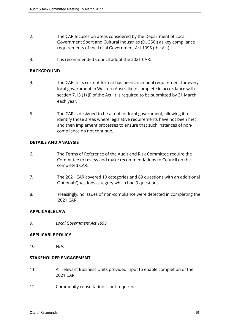- 2. The CAR focuses on areas considered by the Department of Local Government Sport and Cultural Industries (DLGSCI) as key compliance requirements of the Local Government Act 1995 (the Act).
- 3. It is recommended Council adopt the 2021 CAR.

# **BACKGROUND**

- 4. The CAR in its current format has been an annual requirement for every local government in Western Australia to complete in accordance with section 7.13 (1) (i) of the Act. It is required to be submitted by 31 March each year.
- 5. The CAR is designed to be a tool for local government, allowing it to identify those areas where legislative requirements have not been met and then implement processes to ensure that such instances of noncompliance do not continue.

# **DETAILS AND ANALYSIS**

- 6. The Terms of Reference of the Audit and Risk Committee require the Committee to review and make recommendations to Council on the completed CAR.
- 7. The 2021 CAR covered 10 categories and 89 questions with an additional Optional Questions category which had 9 questions.
- 8. Pleasingly, no issues of non-compliance were detected in completing the 2021 CAR.

#### **APPLICABLE LAW**

9. *Local Government Act 1995*

# **APPLICABLE POLICY**

10. N/A.

# **STAKEHOLDER ENGAGEMENT**

- 11. All relevant Business Units provided input to enable completion of the 2021 CAR.
- 12. Community consultation is not required.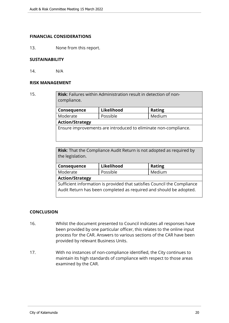#### **FINANCIAL CONSIDERATIONS**

13. None from this report.

# **SUSTAINABILITY**

14. N/A

#### **RISK MANAGEMENT**

15. **Risk**: Failures within Administration result in detection of noncompliance. **Consequence** Likelihood | Rating Moderate | Possible | Medium

# **Action/Strategy**

Ensure improvements are introduced to eliminate non-compliance.

**Risk**: That the Compliance Audit Return is not adopted as required by the legislation.

| Consequence                                                              | Likelihood | <b>Rating</b> |  |
|--------------------------------------------------------------------------|------------|---------------|--|
| Moderate                                                                 | Possible   | Medium        |  |
| <b>Action/Strategy</b>                                                   |            |               |  |
| Sufficient information is provided that satisfies Council the Compliance |            |               |  |
| Audit Return has been completed as required and should be adopted.       |            |               |  |

# **CONCLUSION**

- 16. Whilst the document presented to Council indicates all responses have been provided by one particular officer, this relates to the online input process for the CAR. Answers to various sections of the CAR have been provided by relevant Business Units.
- 17. With no instances of non-compliance identified, the City continues to maintain its high standards of compliance with respect to those areas examined by the CAR.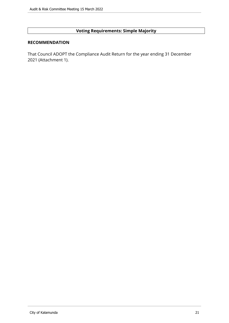# **Voting Requirements: Simple Majority**

# **RECOMMENDATION**

That Council ADOPT the Compliance Audit Return for the year ending 31 December 2021 (Attachment 1).